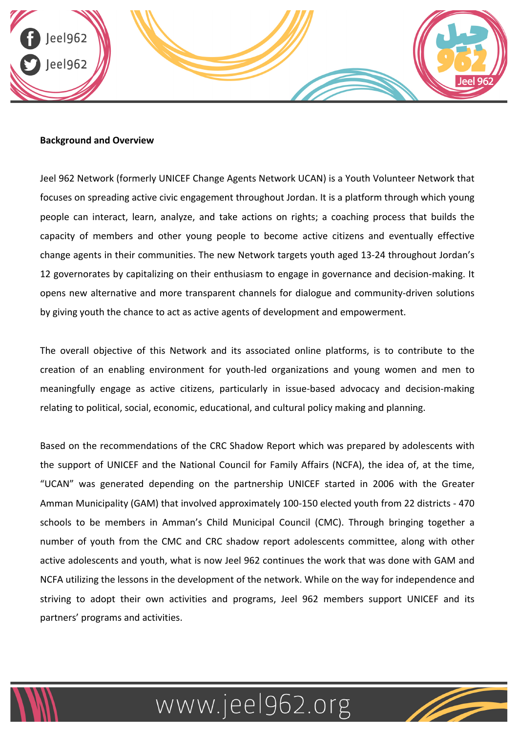

#### **Background and Overview**

Jeel 962 Network (formerly UNICEF Change Agents Network UCAN) is a Youth Volunteer Network that focuses on spreading active civic engagement throughout Jordan. It is a platform through which young people can interact, learn, analyze, and take actions on rights; a coaching process that builds the capacity of members and other young people to become active citizens and eventually effective change agents in their communities. The new Network targets youth aged 13-24 throughout Jordan's 12 governorates by capitalizing on their enthusiasm to engage in governance and decision-making. It opens new alternative and more transparent channels for dialogue and community-driven solutions by giving youth the chance to act as active agents of development and empowerment.

The overall objective of this Network and its associated online platforms, is to contribute to the creation of an enabling environment for youth-led organizations and young women and men to meaningfully engage as active citizens, particularly in issue-based advocacy and decision-making relating to political, social, economic, educational, and cultural policy making and planning.

Based on the recommendations of the CRC Shadow Report which was prepared by adolescents with the support of UNICEF and the National Council for Family Affairs (NCFA), the idea of, at the time, "UCAN" was generated depending on the partnership UNICEF started in 2006 with the Greater Amman Municipality (GAM) that involved approximately 100-150 elected youth from 22 districts - 470 schools to be members in Amman's Child Municipal Council (CMC). Through bringing together a number of youth from the CMC and CRC shadow report adolescents committee, along with other active adolescents and youth, what is now Jeel 962 continues the work that was done with GAM and NCFA utilizing the lessons in the development of the network. While on the way for independence and striving to adopt their own activities and programs, Jeel 962 members support UNICEF and its partners' programs and activities.



## www.jeel962.org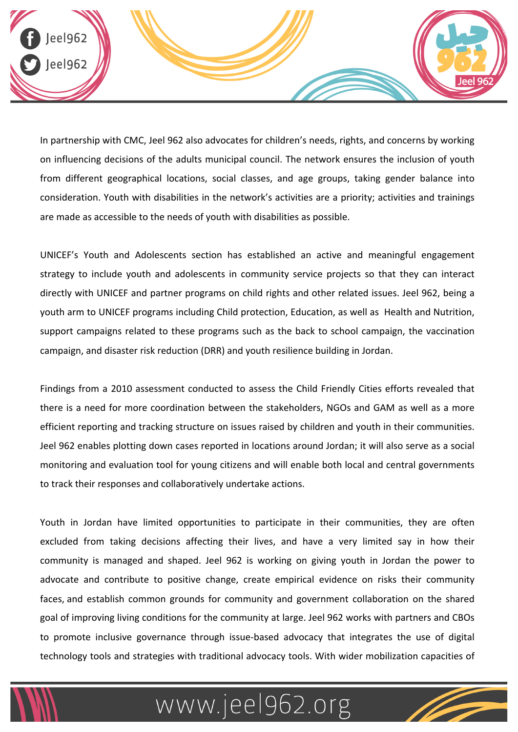

In partnership with CMC, Jeel 962 also advocates for children's needs, rights, and concerns by working on influencing decisions of the adults municipal council. The network ensures the inclusion of youth from different geographical locations, social classes, and age groups, taking gender balance into consideration. Youth with disabilities in the network's activities are a priority; activities and trainings are made as accessible to the needs of youth with disabilities as possible.

UNICEF's Youth and Adolescents section has established an active and meaningful engagement strategy to include youth and adolescents in community service projects so that they can interact directly with UNICEF and partner programs on child rights and other related issues. Jeel 962, being a youth arm to UNICEF programs including Child protection, Education, as well as Health and Nutrition, support campaigns related to these programs such as the back to school campaign, the vaccination campaign, and disaster risk reduction (DRR) and youth resilience building in Jordan.

Findings from a 2010 assessment conducted to assess the Child Friendly Cities efforts revealed that there is a need for more coordination between the stakeholders, NGOs and GAM as well as a more efficient reporting and tracking structure on issues raised by children and youth in their communities. Jeel 962 enables plotting down cases reported in locations around Jordan; it will also serve as a social monitoring and evaluation tool for young citizens and will enable both local and central governments to track their responses and collaboratively undertake actions.

Youth in Jordan have limited opportunities to participate in their communities, they are often excluded from taking decisions affecting their lives, and have a very limited say in how their community is managed and shaped. Jeel 962 is working on giving youth in Jordan the power to advocate and contribute to positive change, create empirical evidence on risks their community faces, and establish common grounds for community and government collaboration on the shared goal of improving living conditions for the community at large. Jeel 962 works with partners and CBOs to promote inclusive governance through issue-based advocacy that integrates the use of digital technology tools and strategies with traditional advocacy tools. With wider mobilization capacities of



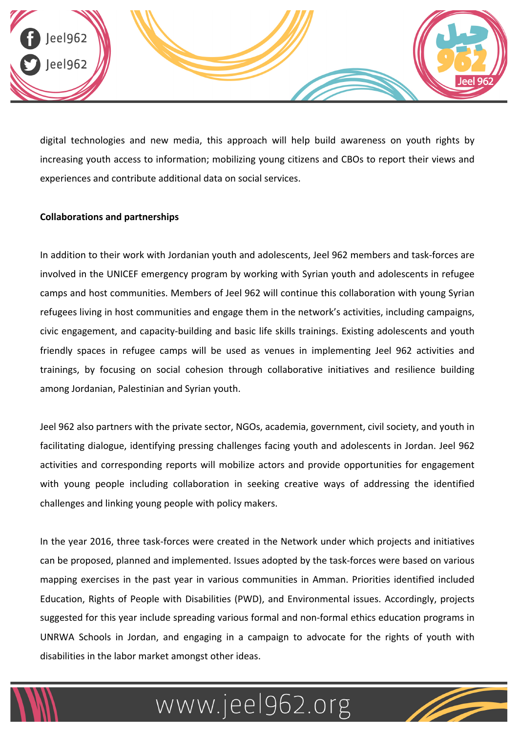

digital technologies and new media, this approach will help build awareness on youth rights by increasing youth access to information; mobilizing young citizens and CBOs to report their views and experiences and contribute additional data on social services.

### **Collaborations and partnerships**

In addition to their work with Jordanian youth and adolescents, Jeel 962 members and task-forces are involved in the UNICEF emergency program by working with Syrian youth and adolescents in refugee camps and host communities. Members of Jeel 962 will continue this collaboration with young Syrian refugees living in host communities and engage them in the network's activities, including campaigns, civic engagement, and capacity-building and basic life skills trainings. Existing adolescents and youth friendly spaces in refugee camps will be used as venues in implementing Jeel 962 activities and trainings, by focusing on social cohesion through collaborative initiatives and resilience building among Jordanian, Palestinian and Syrian youth.

Jeel 962 also partners with the private sector, NGOs, academia, government, civil society, and youth in facilitating dialogue, identifying pressing challenges facing youth and adolescents in Jordan. Jeel 962 activities and corresponding reports will mobilize actors and provide opportunities for engagement with young people including collaboration in seeking creative ways of addressing the identified challenges and linking young people with policy makers.

In the year 2016, three task-forces were created in the Network under which projects and initiatives can be proposed, planned and implemented. Issues adopted by the task-forces were based on various mapping exercises in the past year in various communities in Amman. Priorities identified included Education, Rights of People with Disabilities (PWD), and Environmental issues. Accordingly, projects suggested for this year include spreading various formal and non-formal ethics education programs in UNRWA Schools in Jordan, and engaging in a campaign to advocate for the rights of youth with disabilities in the labor market amongst other ideas.



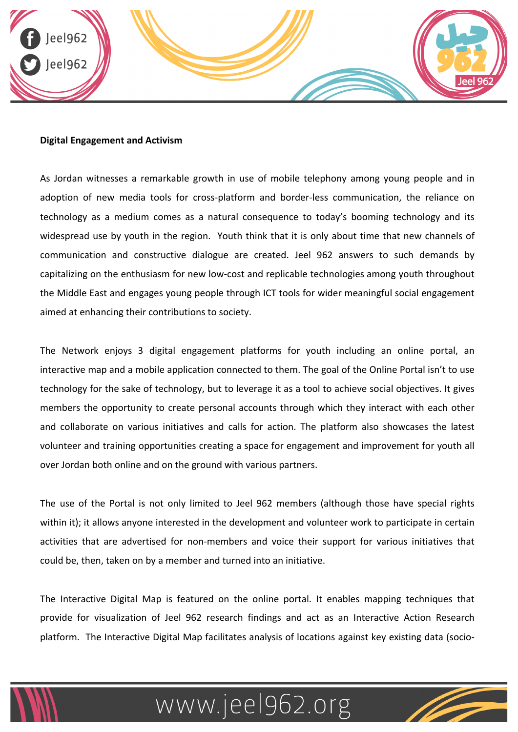

#### **Digital Engagement and Activism**

As Jordan witnesses a remarkable growth in use of mobile telephony among young people and in adoption of new media tools for cross-platform and border-less communication, the reliance on technology as a medium comes as a natural consequence to today's booming technology and its widespread use by youth in the region. Youth think that it is only about time that new channels of communication and constructive dialogue are created. Jeel 962 answers to such demands by capitalizing on the enthusiasm for new low-cost and replicable technologies among youth throughout the Middle East and engages young people through ICT tools for wider meaningful social engagement aimed at enhancing their contributions to society.

The Network enjoys 3 digital engagement platforms for youth including an online portal, an interactive map and a mobile application connected to them. The goal of the Online Portal isn't to use technology for the sake of technology, but to leverage it as a tool to achieve social objectives. It gives members the opportunity to create personal accounts through which they interact with each other and collaborate on various initiatives and calls for action. The platform also showcases the latest volunteer and training opportunities creating a space for engagement and improvement for youth all over Jordan both online and on the ground with various partners.

The use of the Portal is not only limited to Jeel 962 members (although those have special rights within it); it allows anyone interested in the development and volunteer work to participate in certain activities that are advertised for non-members and voice their support for various initiatives that could be, then, taken on by a member and turned into an initiative.

The Interactive Digital Map is featured on the online portal. It enables mapping techniques that provide for visualization of Jeel 962 research findings and act as an Interactive Action Research platform. The Interactive Digital Map facilitates analysis of locations against key existing data (socio-



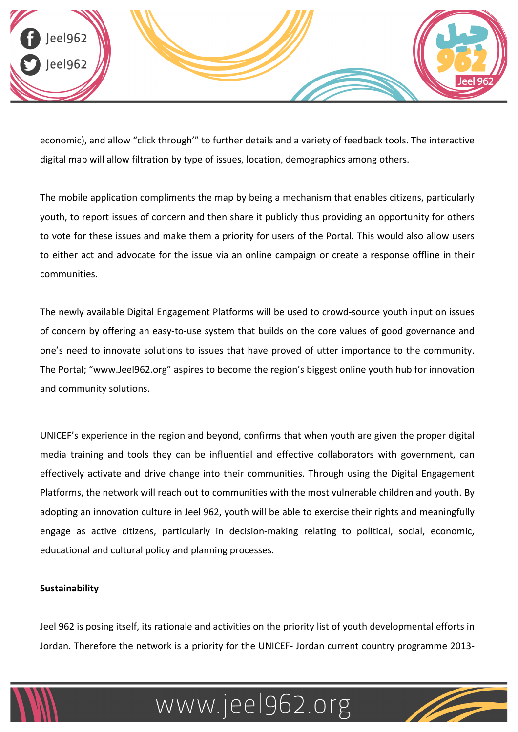

economic), and allow "click through'" to further details and a variety of feedback tools. The interactive digital map will allow filtration by type of issues, location, demographics among others.

The mobile application compliments the map by being a mechanism that enables citizens, particularly youth, to report issues of concern and then share it publicly thus providing an opportunity for others to vote for these issues and make them a priority for users of the Portal. This would also allow users to either act and advocate for the issue via an online campaign or create a response offline in their communities. 

The newly available Digital Engagement Platforms will be used to crowd-source youth input on issues of concern by offering an easy-to-use system that builds on the core values of good governance and one's need to innovate solutions to issues that have proved of utter importance to the community. The Portal; "www.Jeel962.org" aspires to become the region's biggest online youth hub for innovation and community solutions.

UNICEF's experience in the region and beyond, confirms that when youth are given the proper digital media training and tools they can be influential and effective collaborators with government, can effectively activate and drive change into their communities. Through using the Digital Engagement Platforms, the network will reach out to communities with the most vulnerable children and youth. By adopting an innovation culture in Jeel 962, youth will be able to exercise their rights and meaningfully engage as active citizens, particularly in decision-making relating to political, social, economic, educational and cultural policy and planning processes.

### **Sustainability**

Jeel 962 is posing itself, its rationale and activities on the priority list of youth developmental efforts in Jordan. Therefore the network is a priority for the UNICEF- Jordan current country programme 2013-



# www.jeel962.org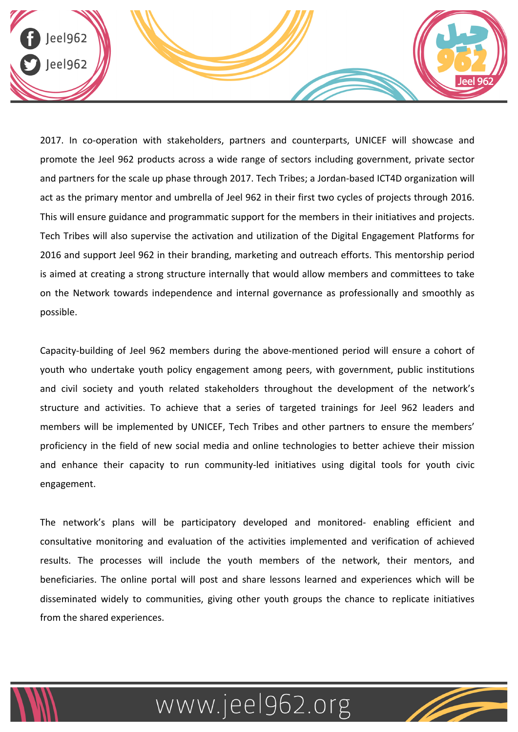

2017. In co-operation with stakeholders, partners and counterparts, UNICEF will showcase and promote the Jeel 962 products across a wide range of sectors including government, private sector and partners for the scale up phase through 2017. Tech Tribes; a Jordan-based ICT4D organization will act as the primary mentor and umbrella of Jeel 962 in their first two cycles of projects through 2016. This will ensure guidance and programmatic support for the members in their initiatives and projects. Tech Tribes will also supervise the activation and utilization of the Digital Engagement Platforms for 2016 and support Jeel 962 in their branding, marketing and outreach efforts. This mentorship period is aimed at creating a strong structure internally that would allow members and committees to take on the Network towards independence and internal governance as professionally and smoothly as possible. 

Capacity-building of Jeel 962 members during the above-mentioned period will ensure a cohort of youth who undertake youth policy engagement among peers, with government, public institutions and civil society and youth related stakeholders throughout the development of the network's structure and activities. To achieve that a series of targeted trainings for Jeel 962 leaders and members will be implemented by UNICEF, Tech Tribes and other partners to ensure the members' proficiency in the field of new social media and online technologies to better achieve their mission and enhance their capacity to run community-led initiatives using digital tools for youth civic engagement. 

The network's plans will be participatory developed and monitored- enabling efficient and consultative monitoring and evaluation of the activities implemented and verification of achieved results. The processes will include the youth members of the network, their mentors, and beneficiaries. The online portal will post and share lessons learned and experiences which will be disseminated widely to communities, giving other youth groups the chance to replicate initiatives from the shared experiences.